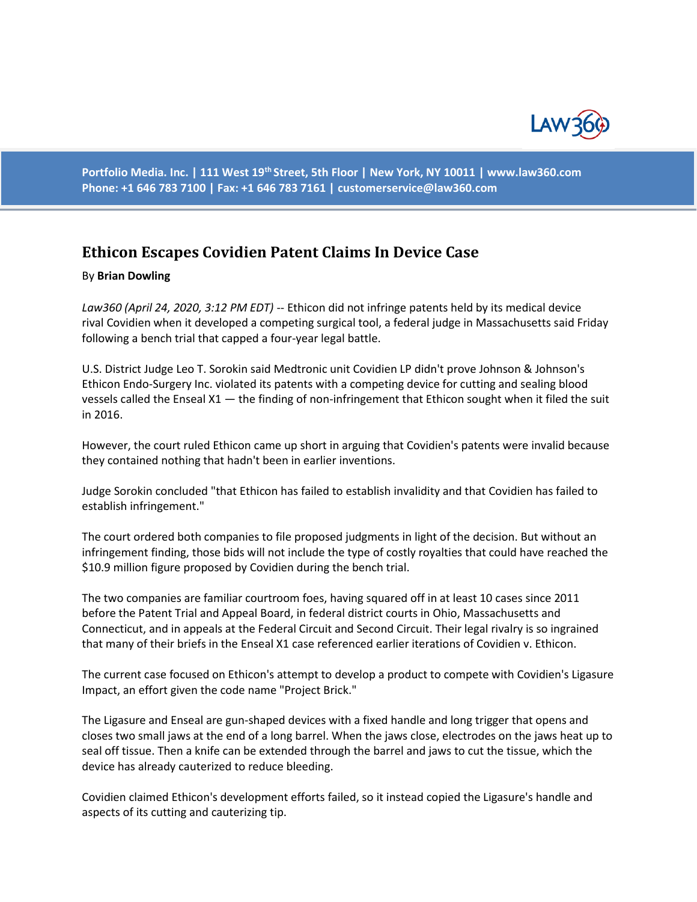

**Portfolio Media. Inc. | 111 West 19th Street, 5th Floor | New York, NY 10011 | www.law360.com Phone: +1 646 783 7100 | Fax: +1 646 783 7161 | customerservice@law360.com**

## **Ethicon Escapes Covidien Patent Claims In Device Case**

## By **Brian Dowling**

*Law360 (April 24, 2020, 3:12 PM EDT)* -- Ethicon did not infringe patents held by its medical device rival Covidien when it developed a competing surgical tool, a federal judge in Massachusetts said Friday following a bench trial that capped a four-year legal battle.

U.S. District Judge Leo T. Sorokin said Medtronic unit Covidien LP didn't prove Johnson & Johnson's Ethicon Endo-Surgery Inc. violated its patents with a competing device for cutting and sealing blood vessels called the Enseal X1 — the finding of non-infringement that Ethicon sought when it filed the suit in 2016.

However, the court ruled Ethicon came up short in arguing that Covidien's patents were invalid because they contained nothing that hadn't been in earlier inventions.

Judge Sorokin concluded "that Ethicon has failed to establish invalidity and that Covidien has failed to establish infringement."

The court ordered both companies to file proposed judgments in light of the decision. But without an infringement finding, those bids will not include the type of costly royalties that could have reached the \$10.9 million figure proposed by Covidien during the bench trial.

The two companies are familiar courtroom foes, having squared off in at least 10 cases since 2011 before the Patent Trial and Appeal Board, in federal district courts in Ohio, Massachusetts and Connecticut, and in appeals at the Federal Circuit and Second Circuit. Their legal rivalry is so ingrained that many of their briefs in the Enseal X1 case referenced earlier iterations of Covidien v. Ethicon.

The current case focused on Ethicon's attempt to develop a product to compete with Covidien's Ligasure Impact, an effort given the code name "Project Brick."

The Ligasure and Enseal are gun-shaped devices with a fixed handle and long trigger that opens and closes two small jaws at the end of a long barrel. When the jaws close, electrodes on the jaws heat up to seal off tissue. Then a knife can be extended through the barrel and jaws to cut the tissue, which the device has already cauterized to reduce bleeding.

Covidien claimed Ethicon's development efforts failed, so it instead copied the Ligasure's handle and aspects of its cutting and cauterizing tip.